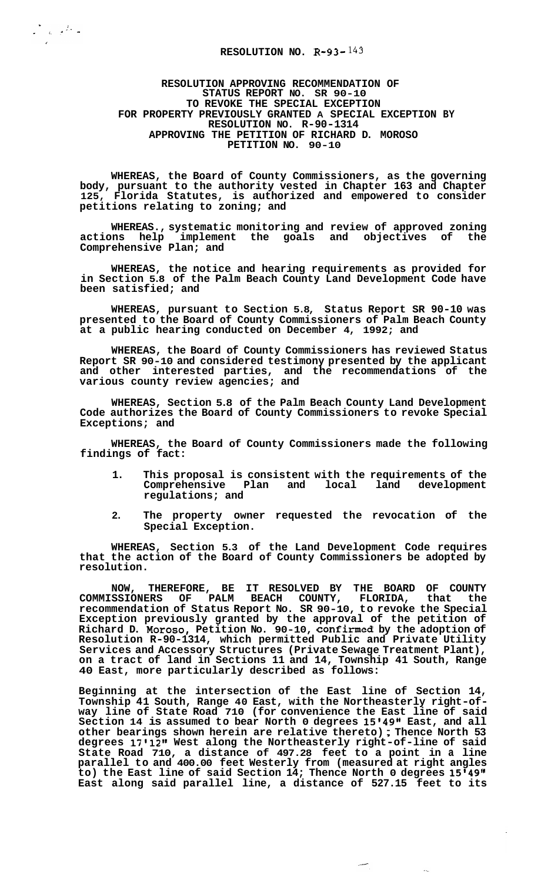## **RESOLUTION NO. R-93-** *143*

 $\label{eq:2.1} \frac{1}{\sqrt{2}}\left(\frac{1}{\sqrt{2}}\right)^2\frac{1}{\sqrt{2}}\left(\frac{1}{\sqrt{2}}\right)^2\frac{1}{\sqrt{2}}\left(\frac{1}{\sqrt{2}}\right)^2.$ 

## **RESOLUTION APPROVING RECOMMENDATION OF STATUS REPORT NO. SR 90-10 TO REVOKE THE SPECIAL EXCEPTION FOR PROPERTY PREVIOUSLY GRANTED A SPECIAL EXCEPTION BY RESOLUTION NO. R-90-1314 APPROVING THE PETITION OF RICHARD D. MOROSO PETITION NO. 90-10**

**WHEREAS, the Board of County Commissioners, as the governing body, pursuant to the authority vested in Chapter 163 and Chapter 125, Florida Statutes, is authorized and empowered to consider petitions relating to zoning; and** 

**WHEREAS., systematic monitoring and review of approved zoning**  actions help implement the goals and objectives of **Comprehensive Plan; and** 

**WHEREAS, the notice and hearing requirements as provided for in Section 5.8 of the Palm Beach County Land Development Code have been satisfied; and** 

**WHEREAS, pursuant to Section 5.8, Status Report SR 90-10 was presented to the Board of County Commissioners of Palm Beach County at a public hearing conducted on December 4, 1992; and** 

**WHEREAS, the Board of County Commissioners has reviewed Status Report SR 90-10 and considered testimony presented by the applicant and other interested parties, and the recommendations of the various county review agencies; and** 

**WHEREAS, Section 5.8 of the Palm Beach County Land Development Code authorizes the Board of County Commissioners to revoke Special Exceptions; and** 

**WHEREAS, the Board of County Commissioners made the following findings of fact:** 

- **1. This proposal is consistent with the requirements of the**  Comprehensive Plan and **regulations; and**
- **2. The property owner requested the revocation of the Special Exception.**

**WHEREAS, Section 5.3 of the Land Development Code requires that the action of the Board of County Commissioners be adopted by resolution.** 

**NOW, THEREFORE, BE IT RESOLVED BY THE BOARD OF COUNTY COMMISSIONERS OF PALM BEACH COUNTY, FLORIDA, that the recommendation of Status Report No. SR 90-10, to revoke the Special Exception previously granted by the approval of the petition of Richard D. Moroso, Petition No. 90-10, confirmed by the adoption of Resolution R-90-1314, which permitted Public and Private Utility Services and Accessory Structures (Private Sewage Treatment Plant), on a tract of land in Sections 11 and 14, Township 41 South, Range 40 East, more particularly described as follows:** 

**Beginning at the intersection of the East line of Section 14, Township 41 South, Range 40 East, with the Northeasterly right-of- way line of State Road 710 (for convenience the East line of said**  Section 14 is assumed to bear North 0 degrees 15'49" East, and all **other bearings shown herein are relative thereto)** ; **Thence North 53 degrees 17\*12\*1 West along the Northeasterly right-of-line of said State Road 710, a distance of 497.28 feet to a point in a line parallel to and 400.00 feet Westerly from (measured at right angles to) the East line of said Section 14; Thence North 0 degrees 15\*49\*\* East along said parallel line, a distance of 527.15 feet to its**